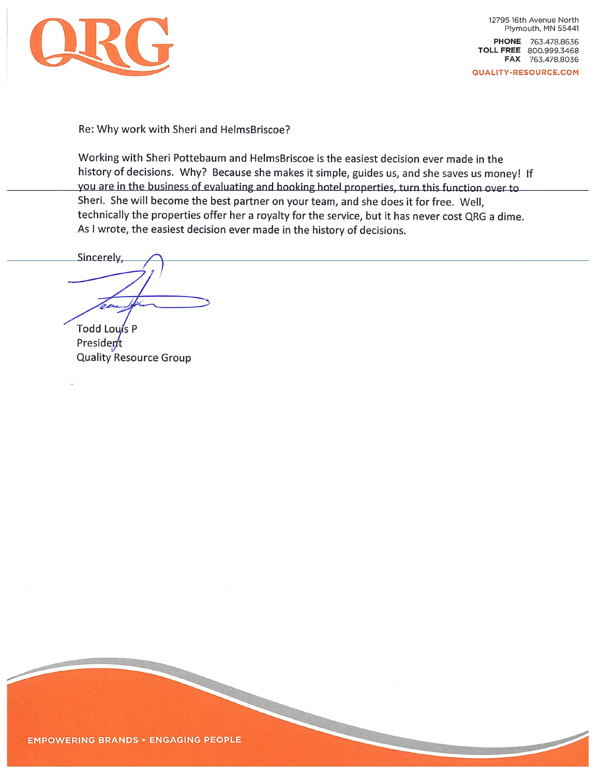

12795 16th Avenue North Plymouth, MN 55441 PHONE 763.478.8636 TOLL FREE 800.999.3468 FAX 763.478.8036

QUALITY-RESOURCE.COM

Re: Why work with Sheri and HelmsBriscoe?

Working with Sheri Pottebaum and HelmsBriscoe is the easiest decision ever made in the history of decisions. Why? Because she makes it simple, guides us, and she saves us money! If you are in the business of evaluating and booking hotel properties, turn this function over to Sheri. She will become the best partner on your team, and she does it for free. Well, technically the properties offer her a royalty for the service, but it has never cost QRG a dime. As I wrote, the easiest decision ever made in the history of decisions.

Sincerely,

Todd Louis P President **Quality Resource Group**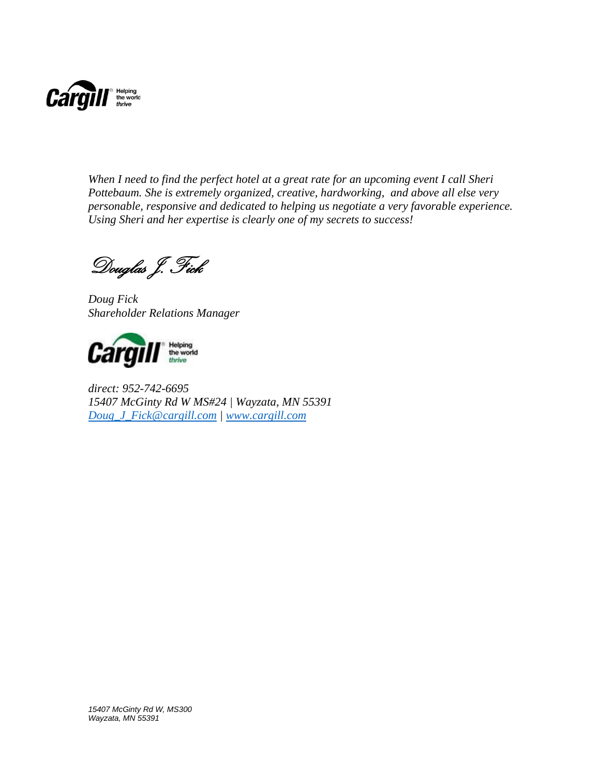

*When I need to find the perfect hotel at a great rate for an upcoming event I call Sheri Pottebaum. She is extremely organized, creative, hardworking, and above all else very personable, responsive and dedicated to helping us negotiate a very favorable experience. Using Sheri and her expertise is clearly one of my secrets to success!*

Douglas J. Fick

*Doug Fick Shareholder Relations Manager*



*direct: 952-742-6695 15407 McGinty Rd W MS#24 | Wayzata, MN 55391 [Doug\\_J\\_Fick@cargill.com](mailto:Doug_J_Fick@cargill.com) | [www.cargill.com](http://www.cargill.com/)*

*15407 McGinty Rd W, MS300 Wayzata, MN 55391*